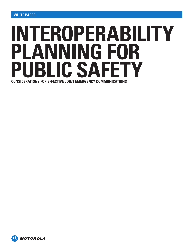# **INTEROPERABILITY PLANNING FOR PUBLIC SAFETY CONSIDERATIONS FOR EFFECTIVE JOINT EMERGENCY COMMUNICATIONS**

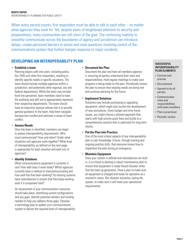When every second counts, first responders must be able to talk to each other – no matter what agencies they work for. Yet, despite years of heightened attention to security and preparedness, many communities are still short of the goal. The continuing inability to smoothly communicate across the boundaries of agency and jurisdiction can introduce delays, create perceived barriers to action and raise questions involving control of the communications system that further hamper response to major incidents.

# **DEVELOPING AN INTEROPERABILITY PLAN**

#### • **Establish a team**

Planning begins with end users, including police, fire, EMS and other first responders, meeting to identify specific needs in specific situations. The team should include multiple agencies within a jurisdiction, and potentially other regional, city and federal departments. While the team may include front line personnel, team members need to have the authority and skill set to appropriately represent their respective departments. The team should have an executive sponsor whose role is to provide general guidance to the team, help them navigate bureaucratic hurdles and arbitrate in areas of team conflict.

• **Assess Needs**

Once the team is identified, members can begin to assess interoperability requirements. Who must communicate? How and when? Under what situations will agencies work together? What level of interoperability, as defined on the next page, is appropriate for each situation and each mix of agencies?

• **Identify Solutions**

What communications equipment is currently in use? How well does it work today? Which agencies currently have a method of intercommunicating and how well has that been working? Do existing systems have redundancies to ensure that they keep working even if a component fails?

An assessment of your communication resources should take place, identifying current configurations and any gaps. Identify potential vendors and funding needed to help you address those gaps. Develop a technology plan to update your communications system to deliver the required level of interoperability.

#### • **Document the Plan**

Document the plan and have all members approve it, ensuring all parties understand their roles and responsibilities. Hold regular meetings to make sure progress is being made on the plan. Periodically review the plan to ensure that ongoing needs are being met and continue planning for the future.

#### • **Implement Solutions**

Solutions may include purchasing or upgrading equipment, which might also involve the development of new procedures. Given budget and time frame issues, you might choose a phased approach that starts with high-priority quick fixes and builds to a comprehensive solution that is optimized for long-term results.

## • **Put the Plan into Practice**

One of the most critical aspects of any interoperability plan is user knowledge. Ensure, through training and ongoing practice drills, that everyone knows how to implement the plan during an emergency.

## • **Maintain Equipment**

Once your system is defined and redundancies are built in, it is critical to develop a robust maintenance plan to ensure that equipment is ready should disaster strike. Test the back up generators. Have a plan to make sure all equipment is charged and ready for operation at a moment's notice. Run disaster scenarios, taxing the system, to make sure it will meet your operational requirements.

#### **SUCCESSFUL INTEROPERABILITY PLAN ELEMENTS**

- Concise and precise
- Documented
- Agreed to by all parties
- Communicates roles and responsibilities with team members
- Plan is practiced
- Periodic review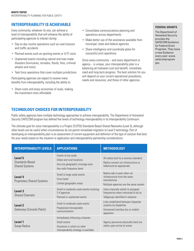# **INTEROPERABILITY IS ACHIEVABLE**

Every community, whatever its size, can achieve a level of interoperability that will enhance the ability of participating agencies to interact during:

- Day-to-day routine operations such as road closures and traffic accidents
- Planned events such as sporting events or V.I.P. visits
- Unplanned events including natural and man-made disasters (hurricanes, tornados, floods, fires, criminal attacks and more)
- Task force operations that cover multiple jurisdictions

Participating agencies can expect to receive many benefits from interoperability, including the ability to:

• Share costs and enjoy economies of scale, making the investment more affordable

- Consolidate communications planning and operations across departments
- Make better use of the assistance available from municipal, state and federal agencies
- Share intelligence and coordinate plans for successful joint operations

Since every community – and every department or agency – is unique, your interoperability plan is a balancing act between cost and benefit, immediate need and long-term progress. The best solution for you will depend on your current operational procedures, needs and resources, and those of other agencies.

#### **FEDERAL GRANTS**

The Department of Homeland Security provides the SAFECOM Guidance for Federal Grant Programs. They issue a new Guidance every year: www. safecomprogram. gov.

# **TECHNOLOGY CHOICES FOR INTEROPERABILITY**

Public safety agencies have multiple technology approaches to achieve interoperability. The Department of Homeland Security SAFECOM program has defined five levels of technology interoperability in its Interoperability Continuum.

The ultimate goal for voice interoperability is a Project 25 (P25) Standards Based Shared Networks (Level 5), although other levels can be useful when circumstances do not permit immediate migration to Level 5 technology. Part of developing an interoperability plan is an assessment of current equipment and definition of the type of solution that best fits your needs based on the situation or application and interoperability partnership considerations.

| <b>INTEROPERABILITY LEVELS</b>                      | <b>APPLICATIONS</b>                                                                                                        | <b>METHODOLOGY</b>                                                                                                     |  |  |  |
|-----------------------------------------------------|----------------------------------------------------------------------------------------------------------------------------|------------------------------------------------------------------------------------------------------------------------|--|--|--|
| Level 5<br>Standards-Based<br><b>Shared Systems</b> | Events of any scale<br>Urban and rural locations<br>Any size geographic coverage area<br>Any radio frequency band          | All radios built to a common standard<br>Radios connect via infrastructure or<br>talkaround as appropriate             |  |  |  |
| Level 4<br><b>Proprietary Shared Systems</b>        | Small to large scale events<br>Cross band<br>Limited geographic areas                                                      | Radios talk to each other via<br>infrastructure from the same<br>manufacturer<br>Multiple agencies use the same system |  |  |  |
| Level <sub>3</sub><br><b>Shared Channels</b>        | Small to moderate scale events involving<br>2-4 agencies<br>Planned or unplanned events                                    | Users manually switch to assigned<br>frequencies when instructed to do so<br>Talkgroups identified in advance          |  |  |  |
| Level <sub>2</sub><br>Gateways (Console Patch)      | Small to moderate scale events<br>Preplanned interoperable<br>communications                                               | Links established between disparate<br>systems by dispatcher<br>Unmanned interface box or mobile<br>apparatus          |  |  |  |
| Level 1<br><b>Swap Radios</b>                       | Immediately following a disaster<br>Small events<br>Situations in which no other<br>interoperability strategy is available | Agency personnel physically hand out<br>radios upon arrival at scene                                                   |  |  |  |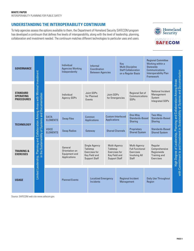# **UNDERSTANDING THE INTEROPERABILITY CONTINUUM**

To help agencies assess the options available to them, the Department of Homeland Security SAFECOM program has developed a continuum that defines five levels of interoperability, along with the level of leadership, planning, collaboration and investment needed. The continuum matches different technologies to particular uses and users.



| <b>GOVERNANCE</b>                                                                                                               |                                                    | Individual<br><b>Agencies Working</b><br>Independently            |                                                                                     | Informal<br>Coordination<br><b>Between Agencies</b> |                                                                                          | Key                                 | <b>Multi-Discipline</b><br><b>Staff Collaboration</b><br>on a Regular Basis                 |                                                                                                                        | <b>Regional Committee</b><br>Working within a<br><b>Statewide</b><br>Communications<br><b>Interoperability Plan</b><br>Framework |                                          |
|---------------------------------------------------------------------------------------------------------------------------------|----------------------------------------------------|-------------------------------------------------------------------|-------------------------------------------------------------------------------------|-----------------------------------------------------|------------------------------------------------------------------------------------------|-------------------------------------|---------------------------------------------------------------------------------------------|------------------------------------------------------------------------------------------------------------------------|----------------------------------------------------------------------------------------------------------------------------------|------------------------------------------|
| <b>STANDARD</b><br><b>OPERATING</b><br><b>PROCEDURES</b>                                                                        |                                                    | Individual<br><b>Agency SOPs</b>                                  |                                                                                     | Joint SOPs<br>for Planned<br>Events                 | <b>Regional Set of</b><br>Joint SOPs<br>Communications<br>for Emergencies<br><b>SOPs</b> |                                     | National Incident<br>Management<br>System<br><b>Integrated SOPs</b>                         | of Leadership, Planning and Collaboration Among Areas<br>and Investment in Sustainability of Systems and Documentation |                                                                                                                                  |                                          |
| <b>TECHNOLOGY</b>                                                                                                               | <b>DATA</b><br><b>ELEMENTS</b>                     | <b>Swap Files</b>                                                 |                                                                                     | Common<br><b>Applications</b>                       | Custom-Interfeced<br><b>Applications</b>                                                 |                                     | One-Way<br>Standards-Based<br><b>Sharing</b>                                                |                                                                                                                        | Two-Way<br><b>Standards-Based</b><br><b>Sharing</b>                                                                              |                                          |
| <b>VOICE</b><br><b>ELEMENTS</b>                                                                                                 |                                                    | <b>Swap Radios</b>                                                |                                                                                     | <b>Shared Channels</b><br>Gateway                   |                                                                                          | Proprietary<br><b>Shared System</b> |                                                                                             | Standards-Based<br><b>Shared System</b>                                                                                |                                                                                                                                  |                                          |
| Limited Leadership, Planning and Collaboration Among Areas with Minimal Investment<br><b>TRAINING &amp;</b><br><b>EXERCISES</b> | in the Sustainability of Systems and Documentation | General<br>Orientation on<br><b>Equipment and</b><br>Applications | Single Agency<br>Tabletop<br>Exercises for<br>Key Field and<br><b>Support Staff</b> |                                                     | Multi-Agency<br>Tabletop<br>Exercises for<br>Key Field and<br><b>Support Staff</b>       |                                     | Multi-Agency<br><b>Full Functional</b><br>Exercises<br><b>Involving All</b><br><b>Staff</b> |                                                                                                                        | Regular<br>Comprehensive<br>Regionwide<br>Training and<br>Exercises                                                              | <b>High Degree</b><br>with Commitment to |
| <b>USAGE</b>                                                                                                                    |                                                    | <b>Planned Events</b>                                             |                                                                                     | <b>Incidents</b>                                    | <b>Localized Emergency</b>                                                               |                                     | <b>Regional Incident</b><br>Management                                                      |                                                                                                                        | <b>Daily Use Throughout</b><br>Region                                                                                            |                                          |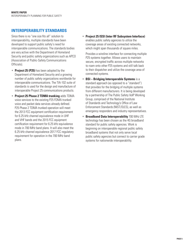# **INTEROPERABILITY STANDARDS**

Since there is no "one size fits all" solution to interoperability, multiple standards have been developed to support public safety's need for interoperable communications. The standards bodies are very active with the Department of Homeland Security and public safety organizations such as APCO (Association of Public-Safety Communications Officials).

- **Project 25 (P25)** has been adopted by the Department of Homeland Security and a growing number of public safety organizations worldwide for interoperable communications. The TIA-102 suite of standards is used for the design and manufacture of interoperable Project 25 communications products.
- **Project 25 Phase 2 TDMA trunking** adds TDMA voice services to the existing P25 FDMA trunked voice and packet data services already defined. P25 Phase 2 TDMA trunked operation will meet the 2013 FCC equipment certification requirement for 6.25 kHz channel equivalence mode in UHF and VHF bands and the 2015 FCC equipment certification requirement for 6.25 kHz equivalence mode in 700 MHz band plans. It will also meet the 6.25 kHz channel equivalence 2017 FCC regulatory requirement for operation in the 700 MHz band plans.

• **Project 25 ISSI (Inter RF Subsystem Interface)** enables public safety agencies to utilize the coverage areas of existing connected networks, which might span thousands of square miles.

Provides a wireline interface for connecting multiple P25 systems together. Allows users to maintain secure, encrypted traffic across multiple networks to roam onto other P25 systems and still talk back to their dispatcher and utilize the coverage area of connected systems.

- **BSI Bridging Interoperable Systems** is a standard approach (as opposed to a "standard") that provides for the bridging of multiple systems from different manufacturers. It is being developed by a partnership of The Public Safety VoIP Working Group, comprised of the National Institute of Standards and Technology's Office of Law Enforcement Standards (NIST/OLES), as well as emergency responders and industry representatives.
- **Broadband Data Interoperability** 700 MHz LTE technology has been chosen as the 4G broadband standard for public safety agencies. Work is beginning on interoperable regional public safety broadband systems that not only serve local public safety agencies but connect to carrier grade systems for nationwide interoperability.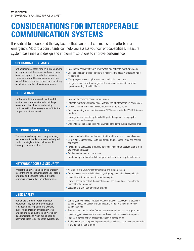# **CONSIDERATIONS FOR INTEROPERABLE COMMUNICATION SYSTEMS**

It is critical to understand the key factors that can effect communication efforts in an emergency. Motorola consultants can help you assess your current capabilities, measure system baselines and design and implement solutions to improve performance.

| <b>OPERATIONAL CAPACITY</b>                                                                                                                                                                                                                                                                             |                                                                                                                                                                                                                                                                                                                                                                                                                                                                                                                                                                                          |
|---------------------------------------------------------------------------------------------------------------------------------------------------------------------------------------------------------------------------------------------------------------------------------------------------------|------------------------------------------------------------------------------------------------------------------------------------------------------------------------------------------------------------------------------------------------------------------------------------------------------------------------------------------------------------------------------------------------------------------------------------------------------------------------------------------------------------------------------------------------------------------------------------------|
| Critical incidents often require a large number<br>of responders at the scene. Will your system<br>have the capacity to handle the heavy call<br>volume generated by so many users in one<br>place? This is a concern when users must rely<br>on a limited number of available channels.                | • Baseline the capacity of your current system and estimate your future needs<br>• Consider spectrum-efficient solutions to maximize the capacity of existing radio<br>frequencies<br>• Manage system access rights to reduce queuing for critical users<br>• Design a system with stringent grade-of-service requirements to maximize<br>operations during critical incidents                                                                                                                                                                                                           |
| <b>RF COVERAGE</b>                                                                                                                                                                                                                                                                                      |                                                                                                                                                                                                                                                                                                                                                                                                                                                                                                                                                                                          |
| First responders often work in difficult RF<br>environments such as tunnels, buildings,<br>basements, thick forests and moving<br>vehicles. Will radio coverage be sufficient to<br>support a joint response?                                                                                           | • Baseline the coverage of your current system<br>• Estimate your future coverage needs within a robust interoperability environment<br>• Deploy a standards-based P25 system for Level 5 interoperability<br>• Consider roaming across multiple vendors' P25 networks via the P25 ISSI standard<br>interface<br>• Leverage vehicle repeater systems (VRS), portable repeaters or deployable<br>systems to extend coverage<br>• Employ talkaround capabilities when working outside the system coverage area                                                                             |
| <b>NETWORK AVAILABILITY</b>                                                                                                                                                                                                                                                                             |                                                                                                                                                                                                                                                                                                                                                                                                                                                                                                                                                                                          |
| The interoperable system is only as strong<br>as its weakest link. Is your system designed<br>so that no single point of failure would<br>interrupt communications?                                                                                                                                     | • Deploy a redundant backhaul network that links RF sites and command centers<br>• Obtain 24 x 7 support services to monitor and troubleshoot RF sites and backhaul<br>equipment<br>• Invest in field-deployable RF sites to be used as needed for localized events or in<br>the event of a disaster<br>Build redundant master control sites<br>• Create multiple fallback levels to mitigate the loss of various system elements                                                                                                                                                        |
| <b>NETWORK ACCESS &amp; SECURITY</b>                                                                                                                                                                                                                                                                    |                                                                                                                                                                                                                                                                                                                                                                                                                                                                                                                                                                                          |
| Protect the network and limit vulnerability<br>by controlling access, managing user group<br>priorities and ensuring that an IP-based<br>system is encrypted at the network level.                                                                                                                      | • Analyze risks to your system from internal and external threats<br>• Control access at the individual device, talk group, channel and system levels<br>• Encrypt traffic to restrict unauthorized interception<br>• Perform decryption only at the dispatch center and the end-user device for the<br>highest level of protection<br>• Establish anti-virus authentication systems                                                                                                                                                                                                     |
| <b>USER SAFETY</b>                                                                                                                                                                                                                                                                                      |                                                                                                                                                                                                                                                                                                                                                                                                                                                                                                                                                                                          |
| Radios are a lifeline. Personnel need<br>equipment they can count on despite<br>rain, heat, dust, fog, sand and extreme<br>duty cycles. Mission critical networks<br>are designed and built to keep working in<br>disaster situations when public cellular<br>networks might fail or become overloaded. | • Control your own mission critical network so that your agency, not a telephone<br>company, makes the decisions that impact the reliability of your emergency<br>communications<br>• Request critical public safety features to ensure that important calls get through<br>Specify rugged, mission critical end-user devices with enhanced voice quality<br>$\bullet$<br>Request extended battery capacity to support extended shifts<br>$\bullet$<br>Enable over-the-air programming so that radios can be reprogrammed automatically<br>$\bullet$<br>in the field as incidents unfold |